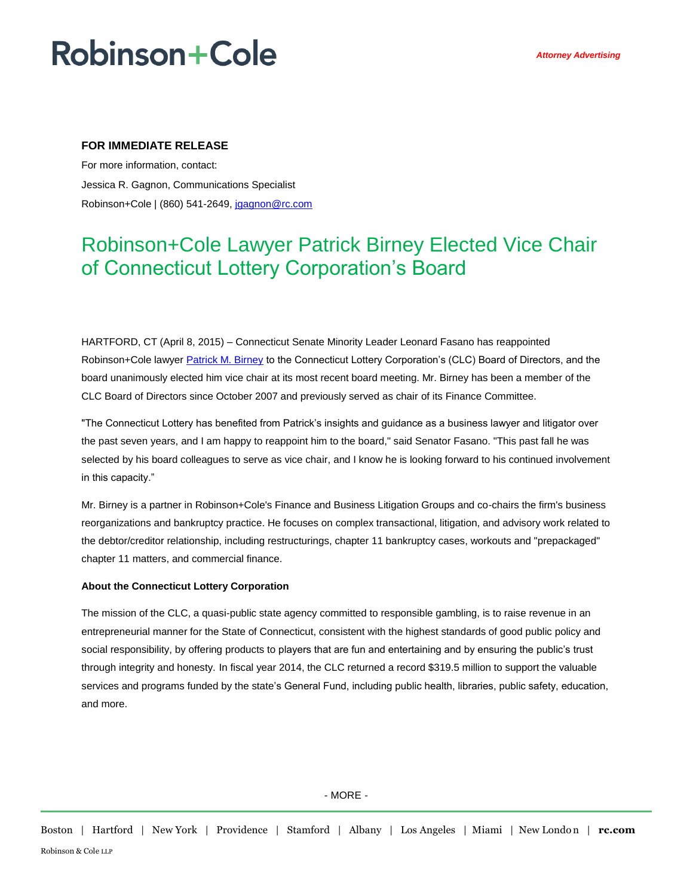# **Robinson+Cole**

### **FOR IMMEDIATE RELEASE**

For more information, contact: Jessica R. Gagnon, Communications Specialist Robinson+Cole | (860) 541-2649[, jgagnon@rc.com](mailto:jgagnon@rc.com)

## Robinson+Cole Lawyer Patrick Birney Elected Vice Chair of Connecticut Lottery Corporation's Board

HARTFORD, CT (April 8, 2015) – Connecticut Senate Minority Leader Leonard Fasano has reappointed Robinson+Cole lawyer [Patrick M. Birney](http://www.rc.com/people/PatrickMBirney.cfm) to the Connecticut Lottery Corporation's (CLC) Board of Directors, and the board unanimously elected him vice chair at its most recent board meeting. Mr. Birney has been a member of the CLC Board of Directors since October 2007 and previously served as chair of its Finance Committee.

"The Connecticut Lottery has benefited from Patrick's insights and guidance as a business lawyer and litigator over the past seven years, and I am happy to reappoint him to the board," said Senator Fasano. "This past fall he was selected by his board colleagues to serve as vice chair, and I know he is looking forward to his continued involvement in this capacity."

Mr. Birney is a partner in Robinson+Cole's Finance and Business Litigation Groups and co-chairs the firm's business reorganizations and bankruptcy practice. He focuses on complex transactional, litigation, and advisory work related to the debtor/creditor relationship, including restructurings, chapter 11 bankruptcy cases, workouts and "prepackaged" chapter 11 matters, and commercial finance.

#### **About the Connecticut Lottery Corporation**

The mission of the CLC, a quasi-public state agency committed to responsible gambling, is to raise revenue in an entrepreneurial manner for the State of Connecticut, consistent with the highest standards of good public policy and social responsibility, by offering products to players that are fun and entertaining and by ensuring the public's trust through integrity and honesty. In fiscal year 2014, the CLC returned a record \$319.5 million to support the valuable services and programs funded by the state's General Fund, including public health, libraries, public safety, education, and more.

- MORE -

Boston | Hartford | New York | Providence | Stamford | Albany | Los Angeles | Miami | New London | **rc.com** Robinson & Cole LLP